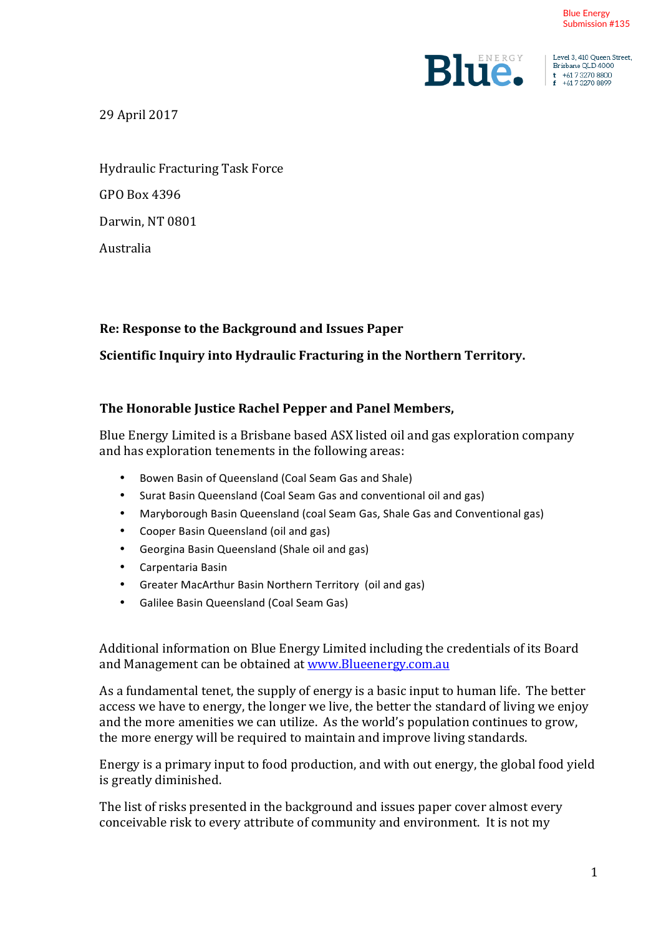

Level 3, 410 Queen Street, Brisbane OLD 4000  $t +61732708800$ <br> $t +61732708899$ 

29 April 2017 

Hydraulic Fracturing Task Force GPO Box 4396 Darwin, NT 0801 Australia 

### Re: Response to the Background and Issues Paper

### **Scientific Inquiry into Hydraulic Fracturing in the Northern Territory.**

#### **The Honorable Justice Rachel Pepper and Panel Members,**

Blue Energy Limited is a Brisbane based ASX listed oil and gas exploration company and has exploration tenements in the following areas:

- Bowen Basin of Queensland (Coal Seam Gas and Shale)
- Surat Basin Queensland (Coal Seam Gas and conventional oil and gas)
- Maryborough Basin Queensland (coal Seam Gas, Shale Gas and Conventional gas)
- Cooper Basin Queensland (oil and gas)
- Georgina Basin Queensland (Shale oil and gas)
- Carpentaria Basin
- Greater MacArthur Basin Northern Territory (oil and gas)
- Galilee Basin Queensland (Coal Seam Gas)

Additional information on Blue Energy Limited including the credentials of its Board and Management can be obtained at www.Blueenergy.com.au

As a fundamental tenet, the supply of energy is a basic input to human life. The better access we have to energy, the longer we live, the better the standard of living we enjoy and the more amenities we can utilize. As the world's population continues to grow, the more energy will be required to maintain and improve living standards.

Energy is a primary input to food production, and with out energy, the global food yield is greatly diminished.

The list of risks presented in the background and issues paper cover almost every conceivable risk to every attribute of community and environment. It is not my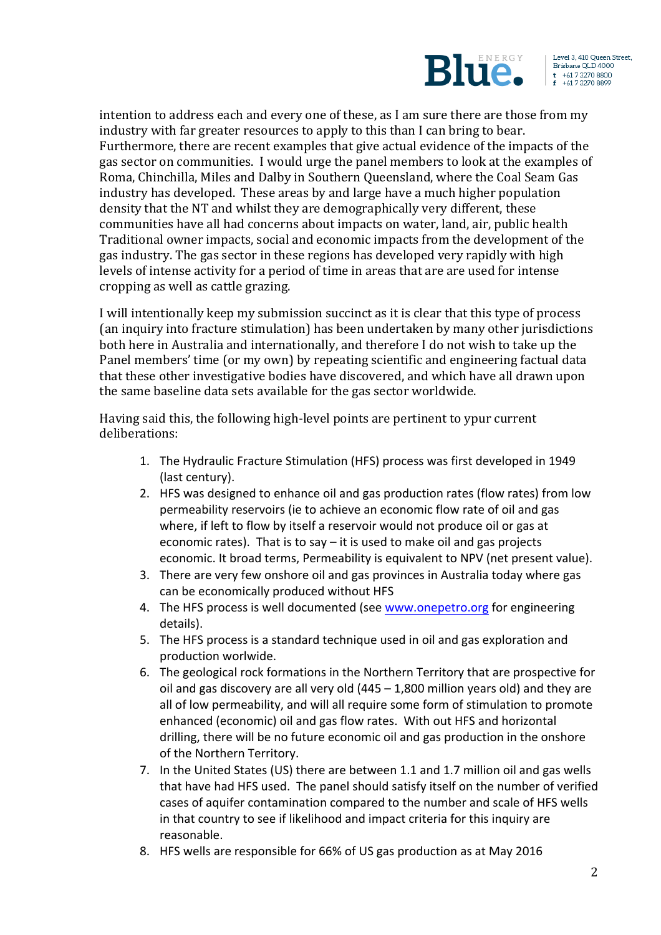

Level 3, 410 Queen Street, Brisbane QLD 4000  $t +61732708800$ <br>f  $+61732708899$ 

intention to address each and every one of these, as I am sure there are those from my industry with far greater resources to apply to this than I can bring to bear. Furthermore, there are recent examples that give actual evidence of the impacts of the gas sector on communities. I would urge the panel members to look at the examples of Roma, Chinchilla, Miles and Dalby in Southern Queensland, where the Coal Seam Gas industry has developed. These areas by and large have a much higher population density that the NT and whilst they are demographically very different, these communities have all had concerns about impacts on water, land, air, public health Traditional owner impacts, social and economic impacts from the development of the gas industry. The gas sector in these regions has developed very rapidly with high levels of intense activity for a period of time in areas that are are used for intense cropping as well as cattle grazing.

I will intentionally keep my submission succinct as it is clear that this type of process (an inquiry into fracture stimulation) has been undertaken by many other jurisdictions both here in Australia and internationally, and therefore I do not wish to take up the Panel members' time (or my own) by repeating scientific and engineering factual data that these other investigative bodies have discovered, and which have all drawn upon the same baseline data sets available for the gas sector worldwide.

Having said this, the following high-level points are pertinent to ypur current deliberations:

- 1. The Hydraulic Fracture Stimulation (HFS) process was first developed in 1949 (last century).
- 2. HFS was designed to enhance oil and gas production rates (flow rates) from low permeability reservoirs (ie to achieve an economic flow rate of oil and gas where, if left to flow by itself a reservoir would not produce oil or gas at economic rates). That is to say  $-$  it is used to make oil and gas projects economic. It broad terms, Permeability is equivalent to NPV (net present value).
- 3. There are very few onshore oil and gas provinces in Australia today where gas can be economically produced without HFS
- 4. The HFS process is well documented (see www.onepetro.org for engineering details).
- 5. The HFS process is a standard technique used in oil and gas exploration and production worlwide.
- 6. The geological rock formations in the Northern Territory that are prospective for oil and gas discovery are all very old  $(445 - 1,800$  million years old) and they are all of low permeability, and will all require some form of stimulation to promote enhanced (economic) oil and gas flow rates. With out HFS and horizontal drilling, there will be no future economic oil and gas production in the onshore of the Northern Territory.
- 7. In the United States (US) there are between 1.1 and 1.7 million oil and gas wells that have had HFS used. The panel should satisfy itself on the number of verified cases of aquifer contamination compared to the number and scale of HFS wells in that country to see if likelihood and impact criteria for this inquiry are reasonable.
- 8. HFS wells are responsible for 66% of US gas production as at May 2016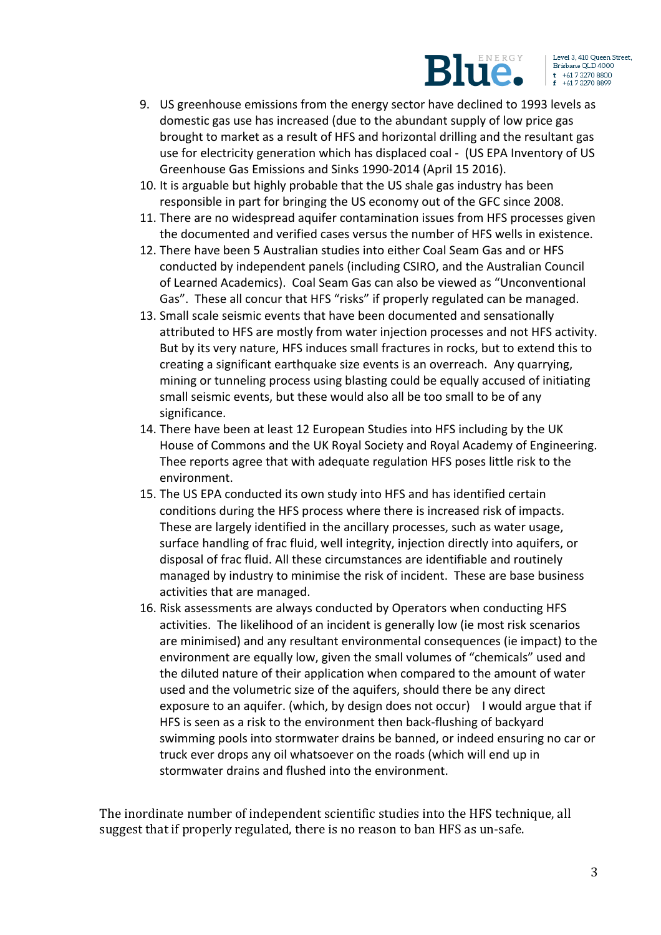

- 9. US greenhouse emissions from the energy sector have declined to 1993 levels as domestic gas use has increased (due to the abundant supply of low price gas brought to market as a result of HFS and horizontal drilling and the resultant gas use for electricity generation which has displaced coal - (US EPA Inventory of US Greenhouse Gas Emissions and Sinks 1990-2014 (April 15 2016).
- 10. It is arguable but highly probable that the US shale gas industry has been responsible in part for bringing the US economy out of the GFC since 2008.
- 11. There are no widespread aquifer contamination issues from HFS processes given the documented and verified cases versus the number of HFS wells in existence.
- 12. There have been 5 Australian studies into either Coal Seam Gas and or HFS conducted by independent panels (including CSIRO, and the Australian Council of Learned Academics). Coal Seam Gas can also be viewed as "Unconventional Gas". These all concur that HFS "risks" if properly regulated can be managed.
- 13. Small scale seismic events that have been documented and sensationally attributed to HFS are mostly from water injection processes and not HFS activity. But by its very nature, HFS induces small fractures in rocks, but to extend this to creating a significant earthquake size events is an overreach. Any quarrying, mining or tunneling process using blasting could be equally accused of initiating small seismic events, but these would also all be too small to be of any significance.
- 14. There have been at least 12 European Studies into HFS including by the UK House of Commons and the UK Royal Society and Royal Academy of Engineering. Thee reports agree that with adequate regulation HFS poses little risk to the environment.
- 15. The US EPA conducted its own study into HFS and has identified certain conditions during the HFS process where there is increased risk of impacts. These are largely identified in the ancillary processes, such as water usage, surface handling of frac fluid, well integrity, injection directly into aquifers, or disposal of frac fluid. All these circumstances are identifiable and routinely managed by industry to minimise the risk of incident. These are base business activities that are managed.
- 16. Risk assessments are always conducted by Operators when conducting HFS activities. The likelihood of an incident is generally low (ie most risk scenarios are minimised) and any resultant environmental consequences (ie impact) to the environment are equally low, given the small volumes of "chemicals" used and the diluted nature of their application when compared to the amount of water used and the volumetric size of the aquifers, should there be any direct exposure to an aquifer. (which, by design does not occur) I would argue that if HFS is seen as a risk to the environment then back-flushing of backyard swimming pools into stormwater drains be banned, or indeed ensuring no car or truck ever drops any oil whatsoever on the roads (which will end up in stormwater drains and flushed into the environment.

The inordinate number of independent scientific studies into the HFS technique, all suggest that if properly regulated, there is no reason to ban HFS as un-safe.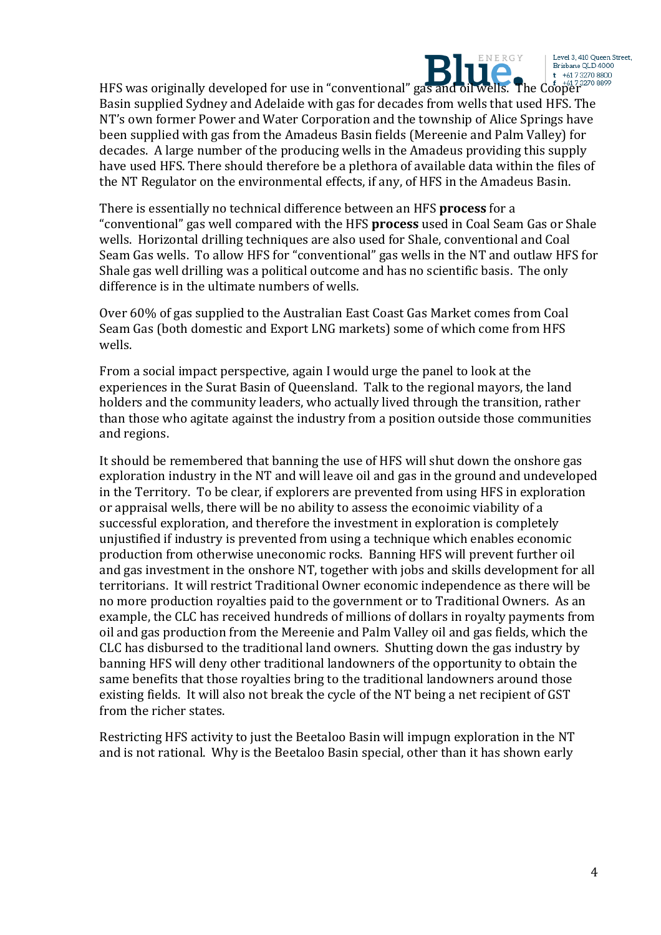

Level 3, 410 Queen Street, Brisbane QLD 4000  $t + 61732708800$ 

HFS was originally developed for use in "conventional" gas and oil wells. The Cooper details and  $\frac{1}{2}$ Basin supplied Sydney and Adelaide with gas for decades from wells that used HFS. The NT's own former Power and Water Corporation and the township of Alice Springs have been supplied with gas from the Amadeus Basin fields (Mereenie and Palm Valley) for decades. A large number of the producing wells in the Amadeus providing this supply have used HFS. There should therefore be a plethora of available data within the files of the NT Regulator on the environmental effects, if any, of HFS in the Amadeus Basin.

There is essentially no technical difference between an HFS **process** for a "conventional" gas well compared with the HFS **process** used in Coal Seam Gas or Shale wells. Horizontal drilling techniques are also used for Shale, conventional and Coal Seam Gas wells. To allow HFS for "conventional" gas wells in the NT and outlaw HFS for Shale gas well drilling was a political outcome and has no scientific basis. The only difference is in the ultimate numbers of wells.

Over 60% of gas supplied to the Australian East Coast Gas Market comes from Coal Seam Gas (both domestic and Export LNG markets) some of which come from HFS wells.

From a social impact perspective, again I would urge the panel to look at the experiences in the Surat Basin of Queensland. Talk to the regional mayors, the land holders and the community leaders, who actually lived through the transition, rather than those who agitate against the industry from a position outside those communities and regions.

It should be remembered that banning the use of HFS will shut down the onshore gas exploration industry in the NT and will leave oil and gas in the ground and undeveloped in the Territory. To be clear, if explorers are prevented from using HFS in exploration or appraisal wells, there will be no ability to assess the econoimic viability of a successful exploration, and therefore the investment in exploration is completely unjustified if industry is prevented from using a technique which enables economic production from otherwise uneconomic rocks. Banning HFS will prevent further oil and gas investment in the onshore NT, together with jobs and skills development for all territorians. It will restrict Traditional Owner economic independence as there will be no more production royalties paid to the government or to Traditional Owners. As an example, the CLC has received hundreds of millions of dollars in royalty payments from oil and gas production from the Mereenie and Palm Valley oil and gas fields, which the CLC has disbursed to the traditional land owners. Shutting down the gas industry by banning HFS will deny other traditional landowners of the opportunity to obtain the same benefits that those royalties bring to the traditional landowners around those existing fields. It will also not break the cycle of the NT being a net recipient of GST from the richer states.

Restricting HFS activity to just the Beetaloo Basin will impugn exploration in the NT and is not rational. Why is the Beetaloo Basin special, other than it has shown early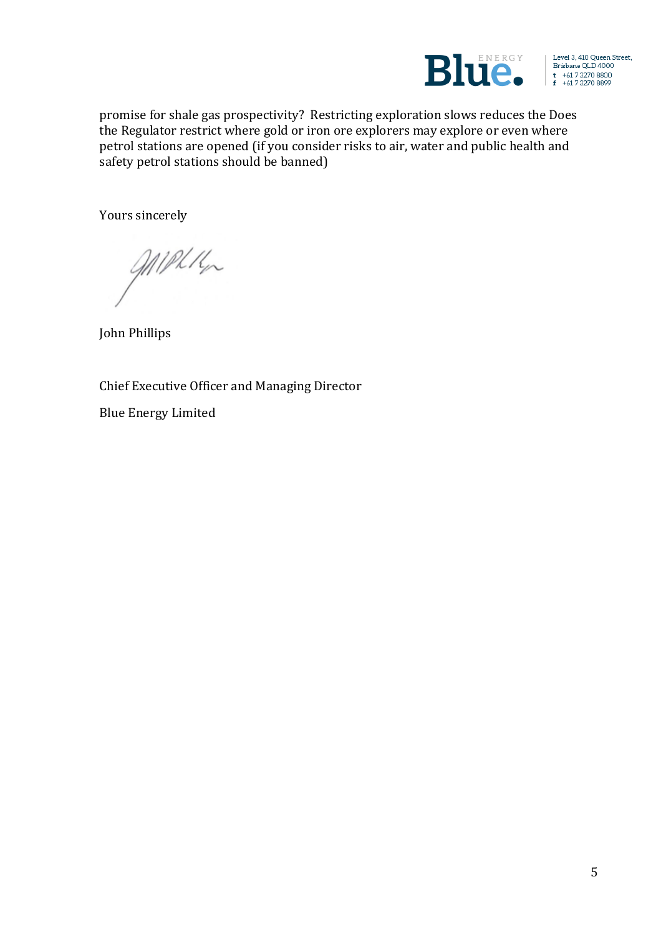

Level 3, 410 Queen Street, Brisbane QLD 4000  $t$  +61 7 3270 8800<br> $f$  +61 7 3270 8899

promise for shale gas prospectivity? Restricting exploration slows reduces the Does the Regulator restrict where gold or iron ore explorers may explore or even where petrol stations are opened (if you consider risks to air, water and public health and safety petrol stations should be banned)

Yours sincerely

MIPHIL

John Phillips

Chief Executive Officer and Managing Director

**Blue Energy Limited**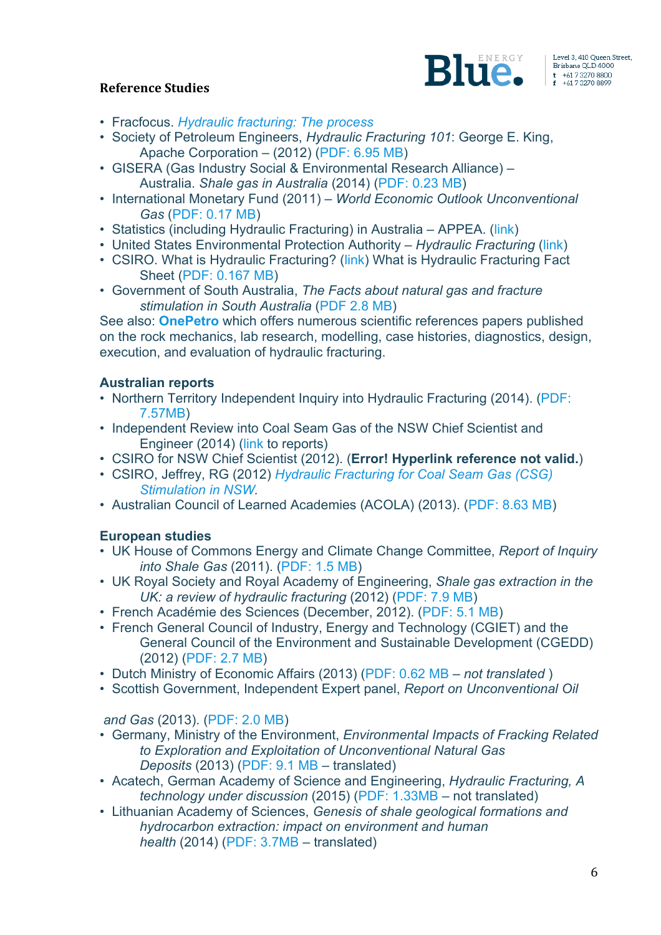

### **Reference Studies**

- Fracfocus. *Hydraulic fracturing: The process*
- Society of Petroleum Engineers, *Hydraulic Fracturing 101*: George E. King, Apache Corporation – (2012) (PDF: 6.95 MB)
- GISERA (Gas Industry Social & Environmental Research Alliance) Australia. *Shale gas in Australia* (2014) (PDF: 0.23 MB)
- International Monetary Fund (2011) *World Economic Outlook Unconventional Gas* (PDF: 0.17 MB)
- Statistics (including Hydraulic Fracturing) in Australia APPEA. (link)
- United States Environmental Protection Authority *Hydraulic Fracturing* (link)
- CSIRO. What is Hydraulic Fracturing? (link) What is Hydraulic Fracturing Fact Sheet (PDF: 0.167 MB)
- Government of South Australia, *The Facts about natural gas and fracture stimulation in South Australia* (PDF 2.8 MB)

See also: **OnePetro** which offers numerous scientific references papers published on the rock mechanics, lab research, modelling, case histories, diagnostics, design, execution, and evaluation of hydraulic fracturing.

## **Australian reports**

- Northern Territory Independent Inquiry into Hydraulic Fracturing (2014). (PDF: 7.57MB)
- Independent Review into Coal Seam Gas of the NSW Chief Scientist and Engineer (2014) (link to reports)
- CSIRO for NSW Chief Scientist (2012). (**Error! Hyperlink reference not valid.**)
- CSIRO, Jeffrey, RG (2012) *Hydraulic Fracturing for Coal Seam Gas (CSG) Stimulation in NSW.*
- Australian Council of Learned Academies (ACOLA) (2013). (PDF: 8.63 MB)

# **European studies**

- UK House of Commons Energy and Climate Change Committee, *Report of Inquiry into Shale Gas* (2011). (PDF: 1.5 MB)
- UK Royal Society and Royal Academy of Engineering, *Shale gas extraction in the UK: a review of hydraulic fracturing* (2012) (PDF: 7.9 MB)
- French Académie des Sciences (December, 2012). (PDF: 5.1 MB)
- French General Council of Industry, Energy and Technology (CGIET) and the General Council of the Environment and Sustainable Development (CGEDD) (2012) (PDF: 2.7 MB)
- Dutch Ministry of Economic Affairs (2013) (PDF: 0.62 MB *not translated* )
- Scottish Government, Independent Expert panel, *Report on Unconventional Oil*

*and Gas* (2013). (PDF: 2.0 MB)

- Germany, Ministry of the Environment, *Environmental Impacts of Fracking Related to Exploration and Exploitation of Unconventional Natural Gas Deposits* (2013) (PDF: 9.1 MB – translated)
- Acatech, German Academy of Science and Engineering, *Hydraulic Fracturing, A technology under discussion* (2015) (PDF: 1.33MB – not translated)
- Lithuanian Academy of Sciences, *Genesis of shale geological formations and hydrocarbon extraction: impact on environment and human health* (2014) (PDF: 3.7MB – translated)